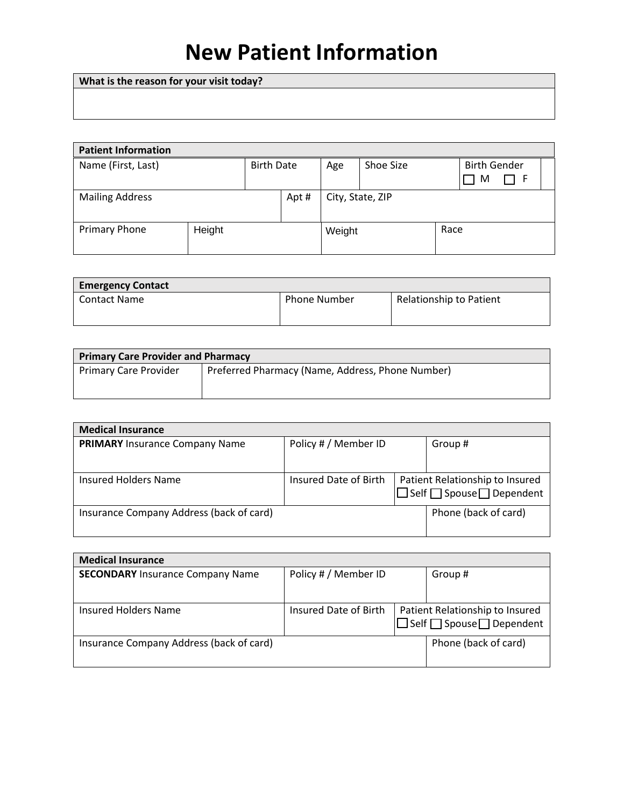# **New Patient Information**

**What is the reason for your visit today?**

| <b>Patient Information</b> |        |                   |      |                  |           |      |                     |  |
|----------------------------|--------|-------------------|------|------------------|-----------|------|---------------------|--|
| Name (First, Last)         |        | <b>Birth Date</b> |      | Age              | Shoe Size |      | <b>Birth Gender</b> |  |
|                            |        |                   |      |                  |           |      | M                   |  |
| <b>Mailing Address</b>     |        |                   | Apt# | City, State, ZIP |           |      |                     |  |
| <b>Primary Phone</b>       | Height |                   |      | Weight           |           | Race |                     |  |

| <b>Emergency Contact</b> |                     |                                |
|--------------------------|---------------------|--------------------------------|
| <b>Contact Name</b>      | <b>Phone Number</b> | <b>Relationship to Patient</b> |

| <b>Primary Care Provider and Pharmacy</b> |                                                  |  |  |
|-------------------------------------------|--------------------------------------------------|--|--|
| <b>Primary Care Provider</b>              | Preferred Pharmacy (Name, Address, Phone Number) |  |  |
|                                           |                                                  |  |  |

| <b>Medical Insurance</b>                 |                       |                                            |
|------------------------------------------|-----------------------|--------------------------------------------|
| <b>PRIMARY</b> Insurance Company Name    | Policy # / Member ID  | Group#                                     |
|                                          |                       |                                            |
|                                          |                       |                                            |
| Insured Holders Name                     | Insured Date of Birth | Patient Relationship to Insured            |
|                                          |                       | $\Box$ Self $\Box$ Spouse $\Box$ Dependent |
| Insurance Company Address (back of card) |                       | Phone (back of card)                       |
|                                          |                       |                                            |
|                                          |                       |                                            |

| <b>Medical Insurance</b>                 |                       |                                            |
|------------------------------------------|-----------------------|--------------------------------------------|
| <b>SECONDARY</b> Insurance Company Name  | Policy # / Member ID  | Group #                                    |
|                                          |                       |                                            |
|                                          |                       |                                            |
| Insured Holders Name                     | Insured Date of Birth | Patient Relationship to Insured            |
|                                          |                       | $\Box$ Self $\Box$ Spouse $\Box$ Dependent |
| Insurance Company Address (back of card) |                       | Phone (back of card)                       |
|                                          |                       |                                            |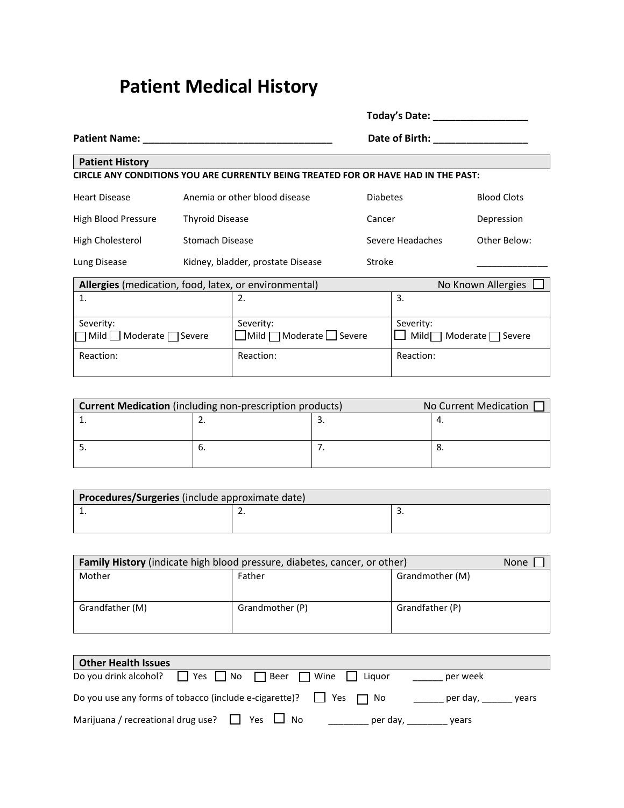## **Patient Medical History**

|                                                                                                                                                                                                                                                       |  |                                                                                    |                                            | Today's Date:    |                                    |  |
|-------------------------------------------------------------------------------------------------------------------------------------------------------------------------------------------------------------------------------------------------------|--|------------------------------------------------------------------------------------|--------------------------------------------|------------------|------------------------------------|--|
| <b>Patient Name:</b><br>the control of the control of the control of the control of the control of the control of the control of the control of the control of the control of the control of the control of the control of the control of the control |  |                                                                                    | Date of Birth: National Property of Birth: |                  |                                    |  |
| <b>Patient History</b>                                                                                                                                                                                                                                |  |                                                                                    |                                            |                  |                                    |  |
|                                                                                                                                                                                                                                                       |  | CIRCLE ANY CONDITIONS YOU ARE CURRENTLY BEING TREATED FOR OR HAVE HAD IN THE PAST: |                                            |                  |                                    |  |
| <b>Heart Disease</b>                                                                                                                                                                                                                                  |  | Anemia or other blood disease                                                      | <b>Diabetes</b>                            |                  | <b>Blood Clots</b>                 |  |
| High Blood Pressure                                                                                                                                                                                                                                   |  | <b>Thyroid Disease</b>                                                             |                                            | Cancer           | Depression                         |  |
| High Cholesterol                                                                                                                                                                                                                                      |  | <b>Stomach Disease</b>                                                             |                                            | Severe Headaches | Other Below:                       |  |
| Lung Disease                                                                                                                                                                                                                                          |  | Kidney, bladder, prostate Disease                                                  | Stroke                                     |                  |                                    |  |
| Allergies (medication, food, latex, or environmental)                                                                                                                                                                                                 |  |                                                                                    |                                            |                  | No Known Allergies                 |  |
| 1.                                                                                                                                                                                                                                                    |  | 2.                                                                                 |                                            | 3.               |                                    |  |
| Severity:                                                                                                                                                                                                                                             |  | Severity:                                                                          |                                            | Severity:        |                                    |  |
| Mild   ∐ Moderate   Severe                                                                                                                                                                                                                            |  | $\Box$ Mild $\Box$ Moderate $\Box$ Severe                                          |                                            |                  | Mild $\Box$ Moderate $\Box$ Severe |  |
| Reaction:                                                                                                                                                                                                                                             |  | Reaction:                                                                          |                                            | Reaction:        |                                    |  |

| <b>Current Medication</b> (including non-prescription products) |    |  | No Current Medication [ |  |
|-----------------------------------------------------------------|----|--|-------------------------|--|
|                                                                 |    |  |                         |  |
|                                                                 |    |  |                         |  |
|                                                                 | o. |  |                         |  |
|                                                                 |    |  |                         |  |

| Procedures/Surgeries (include approximate date) |  |    |  |  |
|-------------------------------------------------|--|----|--|--|
|                                                 |  | J. |  |  |
|                                                 |  |    |  |  |

| <b>Family History</b> (indicate high blood pressure, diabetes, cancer, or other) |                 |                 |  |
|----------------------------------------------------------------------------------|-----------------|-----------------|--|
| Mother                                                                           | Father          | Grandmother (M) |  |
|                                                                                  |                 |                 |  |
| Grandfather (M)                                                                  | Grandmother (P) | Grandfather (P) |  |

| <b>Other Health Issues</b>                                                       |                   |
|----------------------------------------------------------------------------------|-------------------|
| Do you drink alcohol? $\Box$ Yes $\Box$ No $\Box$ Beer $\Box$ Wine $\Box$ Liquor | per week          |
| Do you use any forms of tobacco (include e-cigarette)? $\Box$ Yes $\Box$ No      | per day,<br>vears |
| Marijuana / recreational drug use? $\Box$ Yes $\Box$ No<br>per day,              | vears             |